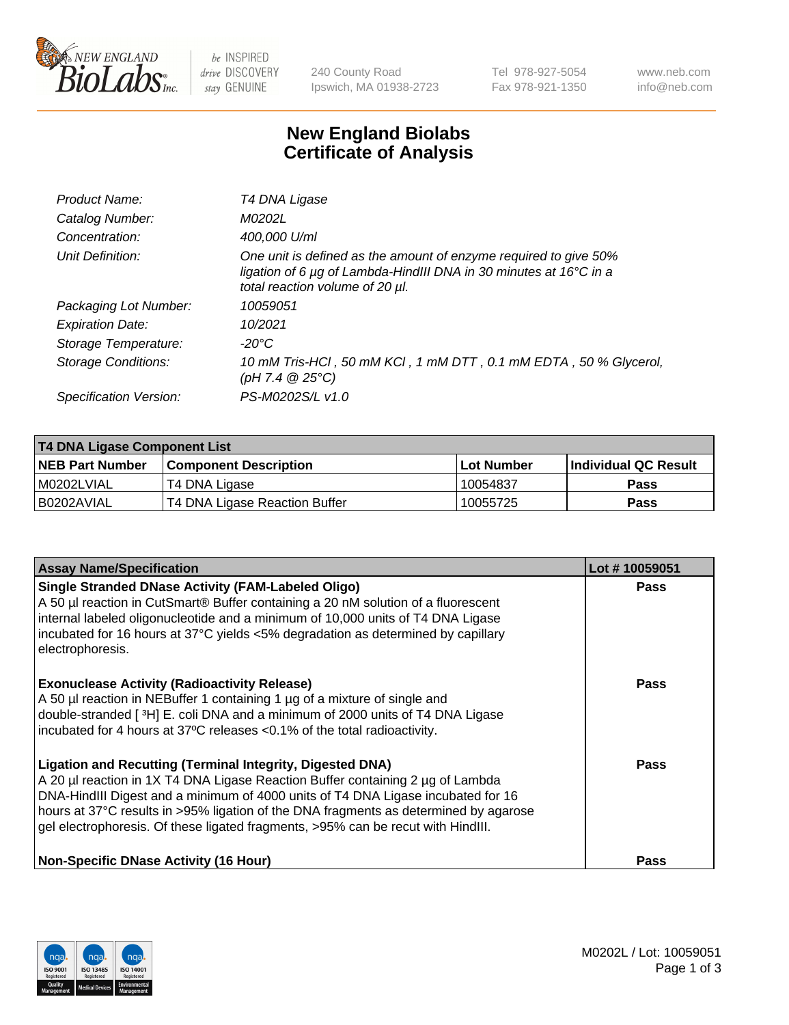

 $be$  INSPIRED drive DISCOVERY stay GENUINE

240 County Road Ipswich, MA 01938-2723 Tel 978-927-5054 Fax 978-921-1350 www.neb.com info@neb.com

## **New England Biolabs Certificate of Analysis**

| Product Name:              | T4 DNA Ligase                                                                                                                                                            |
|----------------------------|--------------------------------------------------------------------------------------------------------------------------------------------------------------------------|
| Catalog Number:            | M0202L                                                                                                                                                                   |
| Concentration:             | 400,000 U/ml                                                                                                                                                             |
| Unit Definition:           | One unit is defined as the amount of enzyme required to give 50%<br>ligation of 6 µg of Lambda-HindIII DNA in 30 minutes at 16°C in a<br>total reaction volume of 20 µl. |
| Packaging Lot Number:      | 10059051                                                                                                                                                                 |
| <b>Expiration Date:</b>    | 10/2021                                                                                                                                                                  |
| Storage Temperature:       | -20°C                                                                                                                                                                    |
| <b>Storage Conditions:</b> | 10 mM Tris-HCl, 50 mM KCl, 1 mM DTT, 0.1 mM EDTA, 50 % Glycerol,<br>(pH 7.4 $@25°C$ )                                                                                    |
| Specification Version:     | PS-M0202S/L v1.0                                                                                                                                                         |

| T4 DNA Ligase Component List |                               |              |                             |  |
|------------------------------|-------------------------------|--------------|-----------------------------|--|
| <b>NEB Part Number</b>       | <b>Component Description</b>  | l Lot Number | <b>Individual QC Result</b> |  |
| M0202LVIAL                   | T4 DNA Ligase                 | 10054837     | <b>Pass</b>                 |  |
| I B0202AVIAL                 | T4 DNA Ligase Reaction Buffer | 10055725     | <b>Pass</b>                 |  |

| <b>Assay Name/Specification</b>                                                                                                                                                                                                                                                                                                                                                                                    | Lot #10059051 |
|--------------------------------------------------------------------------------------------------------------------------------------------------------------------------------------------------------------------------------------------------------------------------------------------------------------------------------------------------------------------------------------------------------------------|---------------|
| <b>Single Stranded DNase Activity (FAM-Labeled Oligo)</b><br>A 50 µl reaction in CutSmart® Buffer containing a 20 nM solution of a fluorescent<br>internal labeled oligonucleotide and a minimum of 10,000 units of T4 DNA Ligase<br>incubated for 16 hours at 37°C yields <5% degradation as determined by capillary<br>electrophoresis.                                                                          | <b>Pass</b>   |
| <b>Exonuclease Activity (Radioactivity Release)</b><br>A 50 µl reaction in NEBuffer 1 containing 1 µg of a mixture of single and<br>double-stranded [3H] E. coli DNA and a minimum of 2000 units of T4 DNA Ligase<br>incubated for 4 hours at 37°C releases <0.1% of the total radioactivity.                                                                                                                      | <b>Pass</b>   |
| <b>Ligation and Recutting (Terminal Integrity, Digested DNA)</b><br>A 20 µl reaction in 1X T4 DNA Ligase Reaction Buffer containing 2 µg of Lambda<br>DNA-HindIII Digest and a minimum of 4000 units of T4 DNA Ligase incubated for 16<br>hours at 37°C results in >95% ligation of the DNA fragments as determined by agarose<br>gel electrophoresis. Of these ligated fragments, >95% can be recut with HindIII. | <b>Pass</b>   |
| <b>Non-Specific DNase Activity (16 Hour)</b>                                                                                                                                                                                                                                                                                                                                                                       | <b>Pass</b>   |

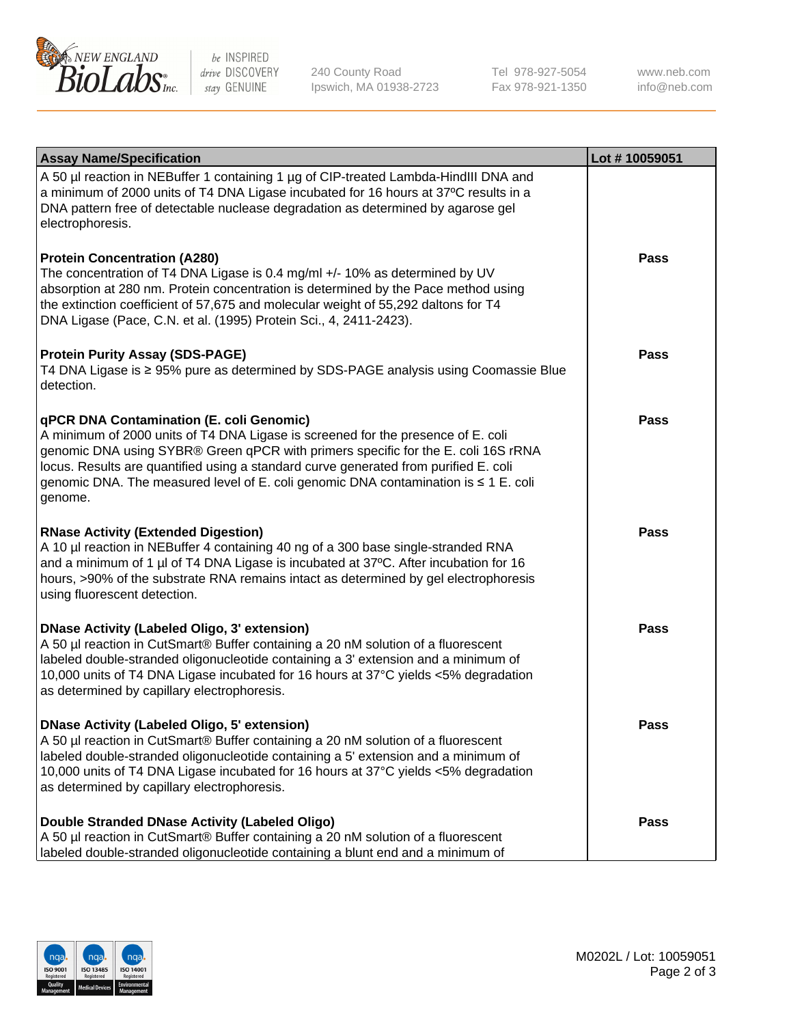

be INSPIRED drive DISCOVERY stay GENUINE

240 County Road Ipswich, MA 01938-2723 Tel 978-927-5054 Fax 978-921-1350

www.neb.com info@neb.com

| <b>Assay Name/Specification</b>                                                                                                                                                                                                                                                                                                                                                                             | Lot #10059051 |
|-------------------------------------------------------------------------------------------------------------------------------------------------------------------------------------------------------------------------------------------------------------------------------------------------------------------------------------------------------------------------------------------------------------|---------------|
| A 50 µl reaction in NEBuffer 1 containing 1 µg of CIP-treated Lambda-HindIII DNA and<br>a minimum of 2000 units of T4 DNA Ligase incubated for 16 hours at 37°C results in a<br>DNA pattern free of detectable nuclease degradation as determined by agarose gel<br>electrophoresis.                                                                                                                        |               |
| <b>Protein Concentration (A280)</b><br>The concentration of T4 DNA Ligase is 0.4 mg/ml +/- 10% as determined by UV<br>absorption at 280 nm. Protein concentration is determined by the Pace method using<br>the extinction coefficient of 57,675 and molecular weight of 55,292 daltons for T4<br>DNA Ligase (Pace, C.N. et al. (1995) Protein Sci., 4, 2411-2423).                                         | Pass          |
| <b>Protein Purity Assay (SDS-PAGE)</b><br>T4 DNA Ligase is ≥ 95% pure as determined by SDS-PAGE analysis using Coomassie Blue<br>detection.                                                                                                                                                                                                                                                                 | Pass          |
| qPCR DNA Contamination (E. coli Genomic)<br>A minimum of 2000 units of T4 DNA Ligase is screened for the presence of E. coli<br>genomic DNA using SYBR® Green qPCR with primers specific for the E. coli 16S rRNA<br>locus. Results are quantified using a standard curve generated from purified E. coli<br>genomic DNA. The measured level of E. coli genomic DNA contamination is ≤ 1 E. coli<br>genome. | Pass          |
| <b>RNase Activity (Extended Digestion)</b><br>A 10 µl reaction in NEBuffer 4 containing 40 ng of a 300 base single-stranded RNA<br>and a minimum of 1 µl of T4 DNA Ligase is incubated at 37°C. After incubation for 16<br>hours, >90% of the substrate RNA remains intact as determined by gel electrophoresis<br>using fluorescent detection.                                                             | <b>Pass</b>   |
| <b>DNase Activity (Labeled Oligo, 3' extension)</b><br>A 50 µl reaction in CutSmart® Buffer containing a 20 nM solution of a fluorescent<br>labeled double-stranded oligonucleotide containing a 3' extension and a minimum of<br>10,000 units of T4 DNA Ligase incubated for 16 hours at 37°C yields <5% degradation<br>as determined by capillary electrophoresis.                                        | Pass          |
| <b>DNase Activity (Labeled Oligo, 5' extension)</b><br>A 50 µl reaction in CutSmart® Buffer containing a 20 nM solution of a fluorescent<br>labeled double-stranded oligonucleotide containing a 5' extension and a minimum of<br>10,000 units of T4 DNA Ligase incubated for 16 hours at 37°C yields <5% degradation<br>as determined by capillary electrophoresis.                                        | Pass          |
| Double Stranded DNase Activity (Labeled Oligo)<br>A 50 µl reaction in CutSmart® Buffer containing a 20 nM solution of a fluorescent<br>labeled double-stranded oligonucleotide containing a blunt end and a minimum of                                                                                                                                                                                      | Pass          |